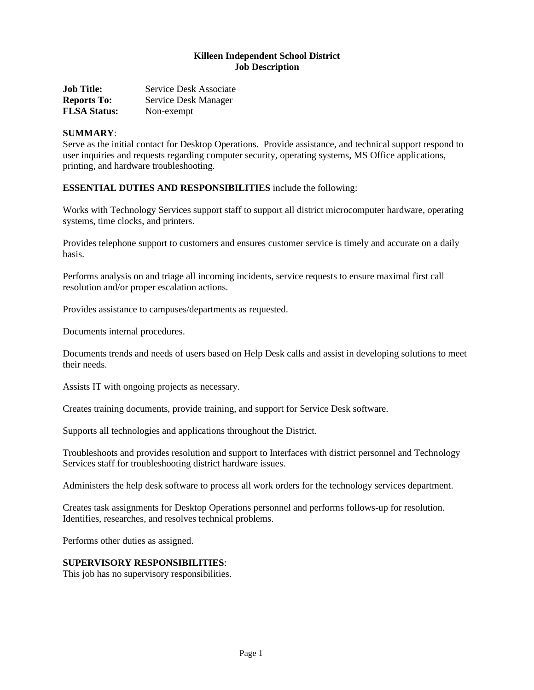#### **Killeen Independent School District Job Description**

**Job Title:** Service Desk Associate **Reports To:** Service Desk Manager **FLSA Status:** Non-exempt

#### **SUMMARY**:

Serve as the initial contact for Desktop Operations. Provide assistance, and technical support respond to user inquiries and requests regarding computer security, operating systems, MS Office applications, printing, and hardware troubleshooting.

**ESSENTIAL DUTIES AND RESPONSIBILITIES** include the following:

Works with Technology Services support staff to support all district microcomputer hardware, operating systems, time clocks, and printers.

Provides telephone support to customers and ensures customer service is timely and accurate on a daily basis.

Performs analysis on and triage all incoming incidents, service requests to ensure maximal first call resolution and/or proper escalation actions.

Provides assistance to campuses/departments as requested.

Documents internal procedures.

Documents trends and needs of users based on Help Desk calls and assist in developing solutions to meet their needs.

Assists IT with ongoing projects as necessary.

Creates training documents, provide training, and support for Service Desk software.

Supports all technologies and applications throughout the District.

Troubleshoots and provides resolution and support to Interfaces with district personnel and Technology Services staff for troubleshooting district hardware issues.

Administers the help desk software to process all work orders for the technology services department.

Creates task assignments for Desktop Operations personnel and performs follows-up for resolution. Identifies, researches, and resolves technical problems.

Performs other duties as assigned.

#### **SUPERVISORY RESPONSIBILITIES**:

This job has no supervisory responsibilities.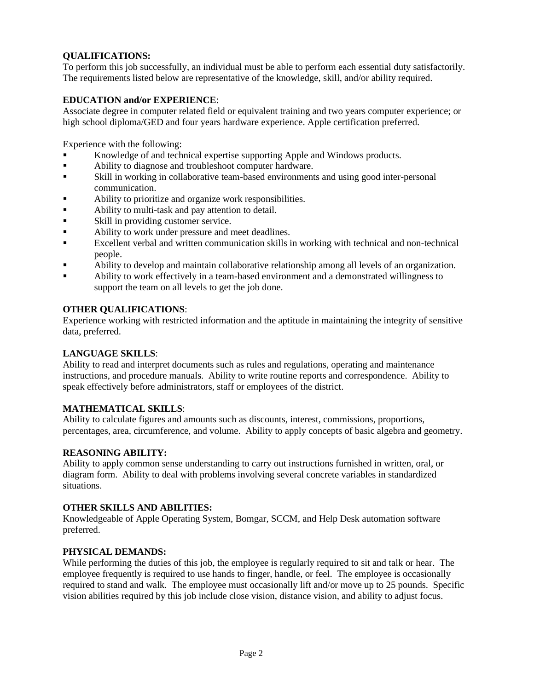# **QUALIFICATIONS:**

To perform this job successfully, an individual must be able to perform each essential duty satisfactorily. The requirements listed below are representative of the knowledge, skill, and/or ability required.

# **EDUCATION and/or EXPERIENCE**:

Associate degree in computer related field or equivalent training and two years computer experience; or high school diploma/GED and four years hardware experience. Apple certification preferred.

Experience with the following:

- Knowledge of and technical expertise supporting Apple and Windows products.
- Ability to diagnose and troubleshoot computer hardware.
- Skill in working in collaborative team-based environments and using good inter-personal communication.
- Ability to prioritize and organize work responsibilities.
- Ability to multi-task and pay attention to detail.
- Skill in providing customer service.
- Ability to work under pressure and meet deadlines.
- Excellent verbal and written communication skills in working with technical and non-technical people.
- Ability to develop and maintain collaborative relationship among all levels of an organization.
- Ability to work effectively in a team-based environment and a demonstrated willingness to support the team on all levels to get the job done.

## **OTHER QUALIFICATIONS**:

Experience working with restricted information and the aptitude in maintaining the integrity of sensitive data, preferred.

## **LANGUAGE SKILLS**:

Ability to read and interpret documents such as rules and regulations, operating and maintenance instructions, and procedure manuals. Ability to write routine reports and correspondence. Ability to speak effectively before administrators, staff or employees of the district.

## **MATHEMATICAL SKILLS**:

Ability to calculate figures and amounts such as discounts, interest, commissions, proportions, percentages, area, circumference, and volume. Ability to apply concepts of basic algebra and geometry.

## **REASONING ABILITY:**

Ability to apply common sense understanding to carry out instructions furnished in written, oral, or diagram form. Ability to deal with problems involving several concrete variables in standardized situations.

## **OTHER SKILLS AND ABILITIES:**

Knowledgeable of Apple Operating System, Bomgar, SCCM, and Help Desk automation software preferred.

## **PHYSICAL DEMANDS:**

While performing the duties of this job, the employee is regularly required to sit and talk or hear. The employee frequently is required to use hands to finger, handle, or feel. The employee is occasionally required to stand and walk. The employee must occasionally lift and/or move up to 25 pounds. Specific vision abilities required by this job include close vision, distance vision, and ability to adjust focus.